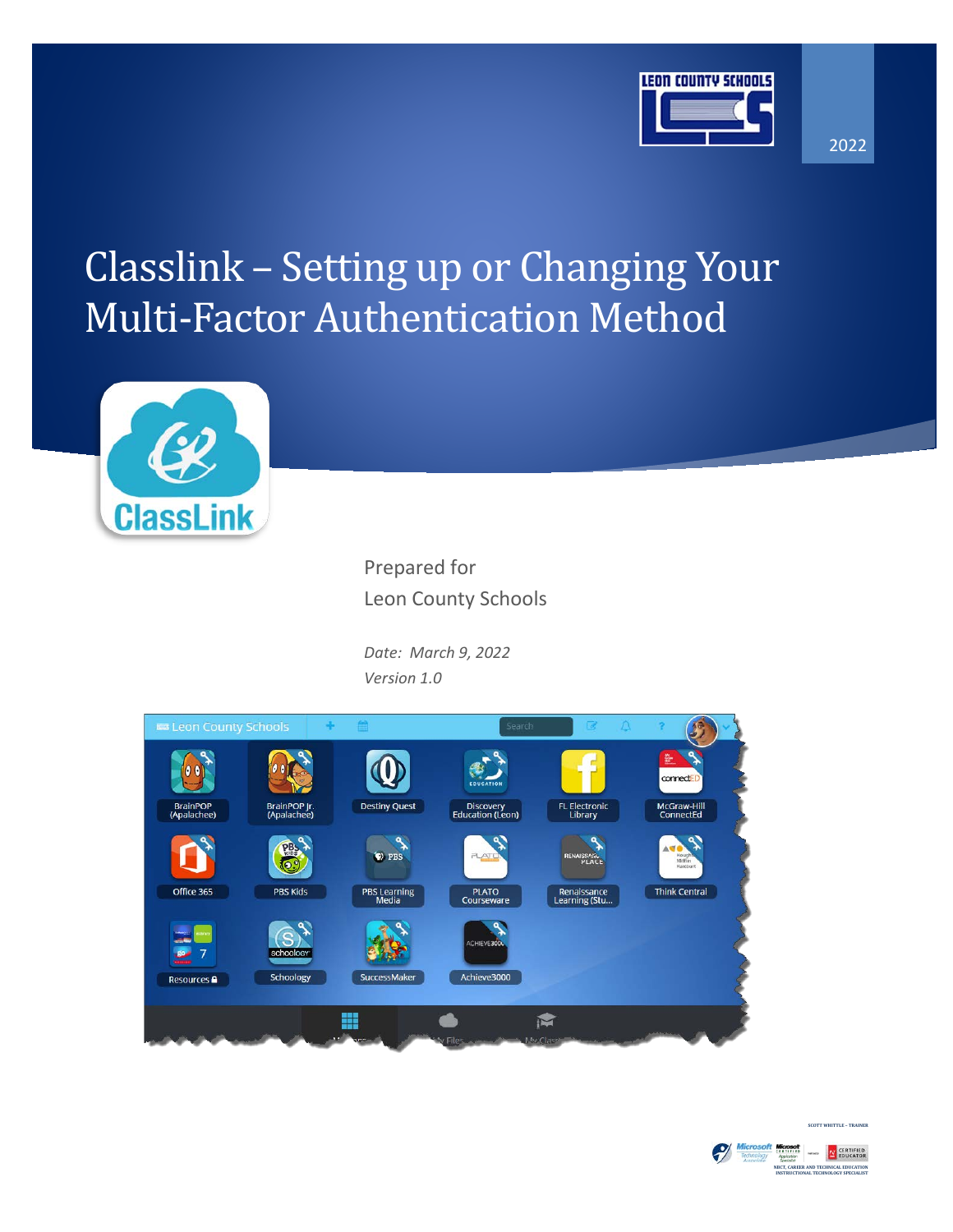

#### 2022

# Classlink – Setting up or Changing Your Multi-Factor Authentication Method



Prepared for Leon County Schools

*Date: March 9, 2022 Version 1.0*





**COTT WHITTLE – TRA**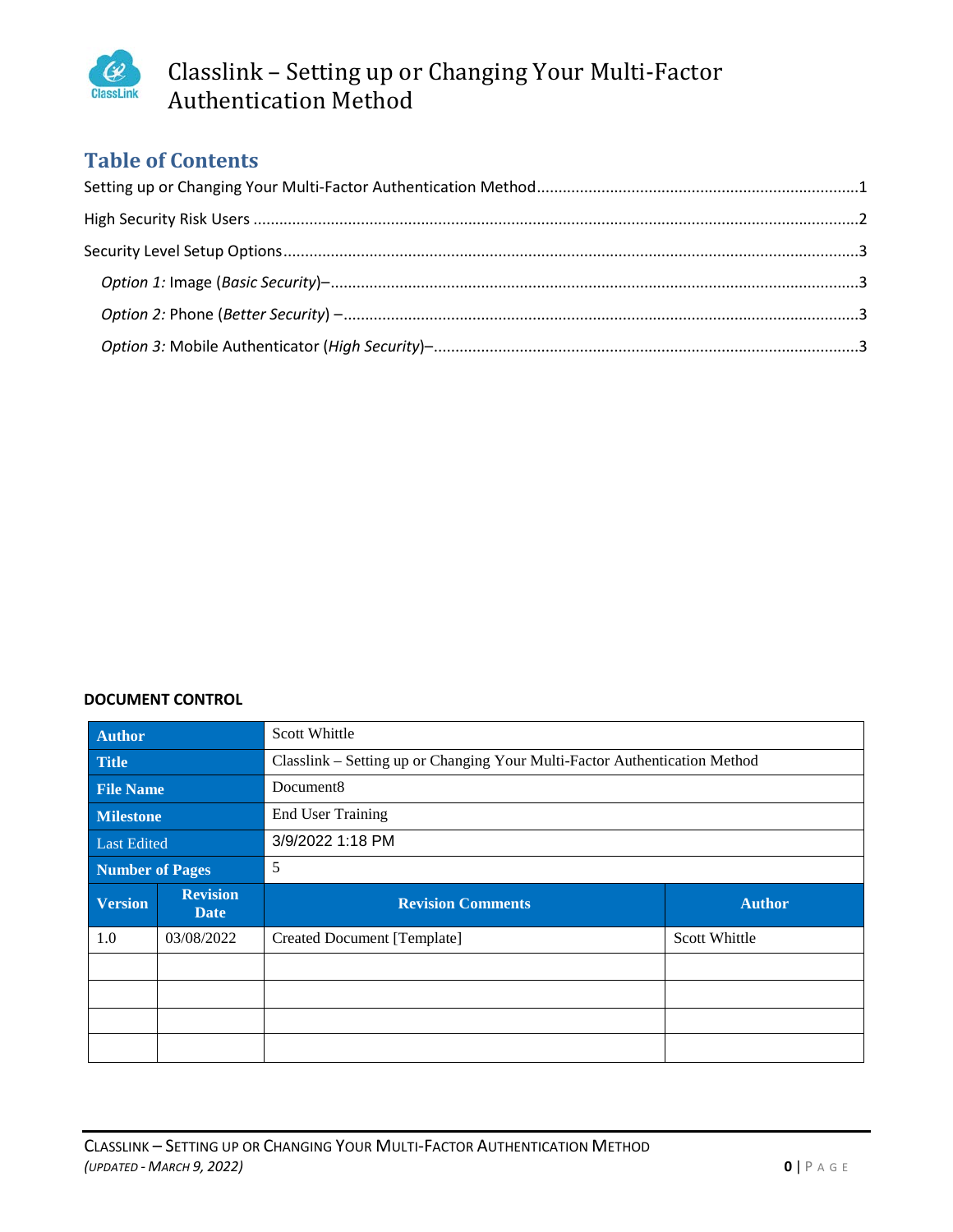

## Classlink – Setting up or Changing Your Multi-Factor Authentication Method

## **Table of Contents**

#### **DOCUMENT CONTROL**

| <b>Author</b>    |                                | Scott Whittle                                                              |               |  |  |  |
|------------------|--------------------------------|----------------------------------------------------------------------------|---------------|--|--|--|
| <b>Title</b>     |                                | Classlink – Setting up or Changing Your Multi-Factor Authentication Method |               |  |  |  |
| <b>File Name</b> |                                | Document <sub>8</sub>                                                      |               |  |  |  |
| <b>Milestone</b> |                                | <b>End User Training</b>                                                   |               |  |  |  |
| Last Edited      |                                | 3/9/2022 1:18 PM                                                           |               |  |  |  |
| Number of Pages  |                                | 5                                                                          |               |  |  |  |
|                  |                                |                                                                            |               |  |  |  |
| <b>Version</b>   | <b>Revision</b><br><b>Date</b> | <b>Revision Comments</b>                                                   | <b>Author</b> |  |  |  |
| 1.0              | 03/08/2022                     | Created Document [Template]                                                | Scott Whittle |  |  |  |
|                  |                                |                                                                            |               |  |  |  |
|                  |                                |                                                                            |               |  |  |  |
|                  |                                |                                                                            |               |  |  |  |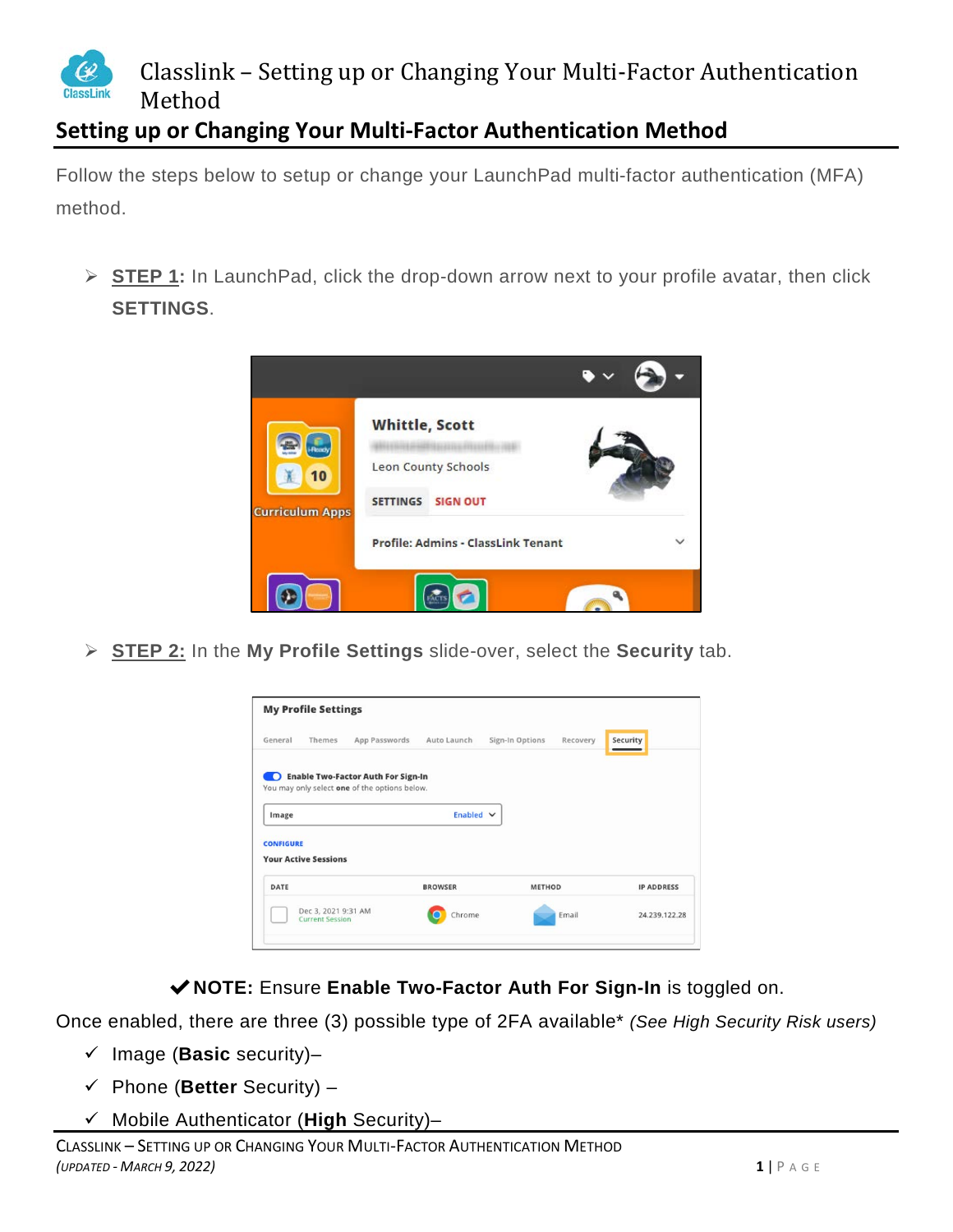

## <span id="page-2-0"></span>**Setting up or Changing Your Multi-Factor Authentication Method**

Follow the steps below to setup or change your LaunchPad multi-factor authentication (MFA) method.

 **STEP 1:** In LaunchPad, click the drop-down arrow next to your profile avatar, then click **SETTINGS**.



**STEP 2:** In the **My Profile Settings** slide-over, select the **Security** tab.



✔**NOTE:** Ensure **Enable Two-Factor Auth For Sign-In** is toggled on.

Once enabled, there are three (3) possible type of 2FA available\* *(See High Security Risk users)*

- $\checkmark$  Image (**Basic** security)-
- Phone (**Better** Security) –
- Mobile Authenticator (**High** Security)–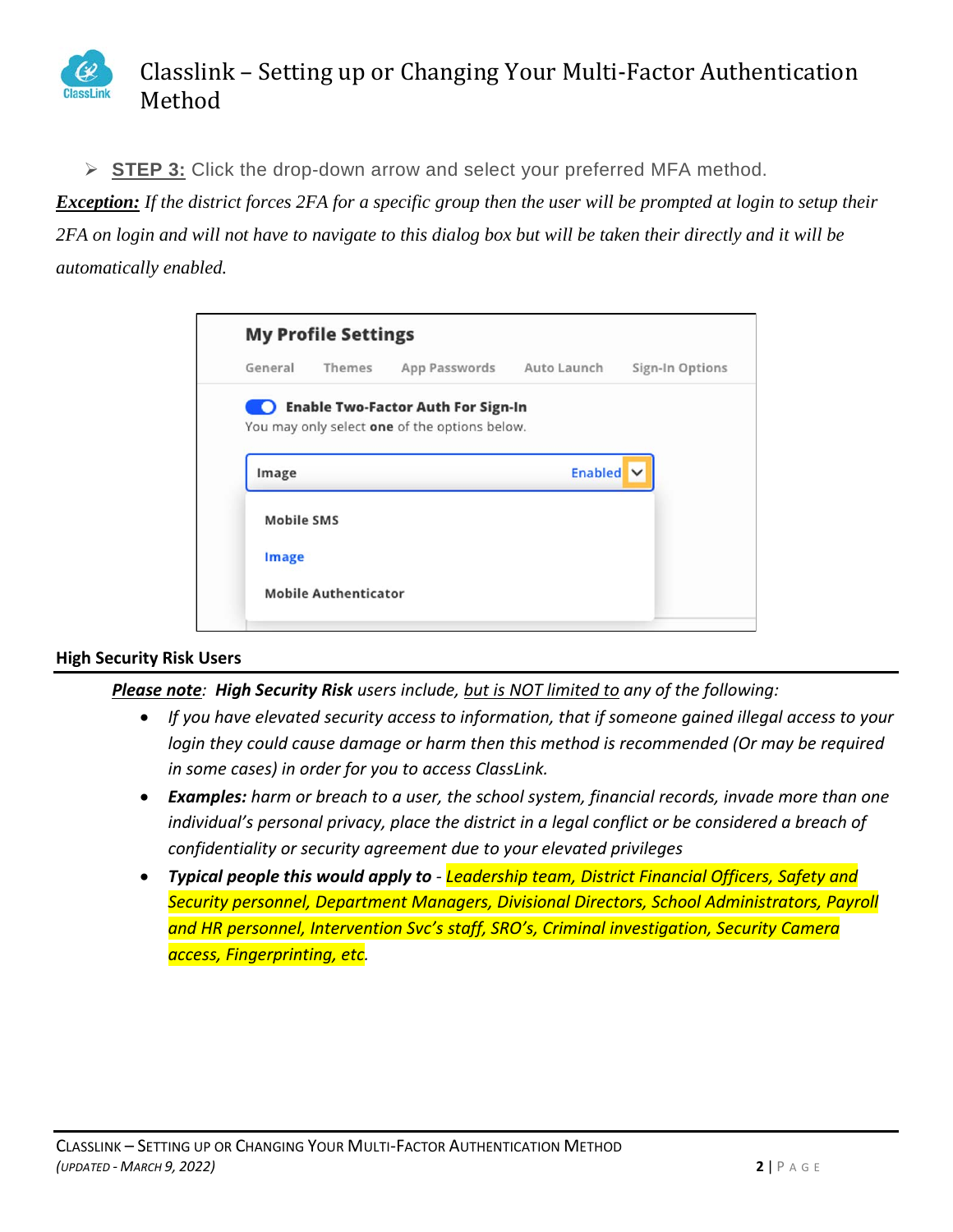

**STEP 3:** Click the drop-down arrow and select your preferred MFA method.

*Exception: If the district forces 2FA for a specific group then the user will be prompted at login to setup their 2FA on login and will not have to navigate to this dialog box but will be taken their directly and it will be automatically enabled.*

|                   | <b>My Profile Settings</b>  |                                               |                |                 |
|-------------------|-----------------------------|-----------------------------------------------|----------------|-----------------|
| General           | Themes                      | App Passwords Auto Launch                     |                | Sign-In Options |
|                   |                             | Enable Two-Factor Auth For Sign-In            |                |                 |
|                   |                             | You may only select one of the options below. |                |                 |
| Image             |                             |                                               | <b>Enabled</b> |                 |
|                   |                             |                                               |                |                 |
| <b>Mobile SMS</b> |                             |                                               |                |                 |
| <b>Image</b>      |                             |                                               |                |                 |
|                   | <b>Mobile Authenticator</b> |                                               |                |                 |
|                   |                             |                                               |                |                 |

#### <span id="page-3-0"></span>**High Security Risk Users**

*Please note: High Security Risk users include, but is NOT limited to any of the following:*

- *If you have elevated security access to information, that if someone gained illegal access to your login they could cause damage or harm then this method is recommended (Or may be required in some cases) in order for you to access ClassLink.*
- *Examples: harm or breach to a user, the school system, financial records, invade more than one individual's personal privacy, place the district in a legal conflict or be considered a breach of confidentiality or security agreement due to your elevated privileges*
- *Typical people this would apply to - Leadership team, District Financial Officers, Safety and Security personnel, Department Managers, Divisional Directors, School Administrators, Payroll and HR personnel, Intervention Svc's staff, SRO's, Criminal investigation, Security Camera access, Fingerprinting, etc.*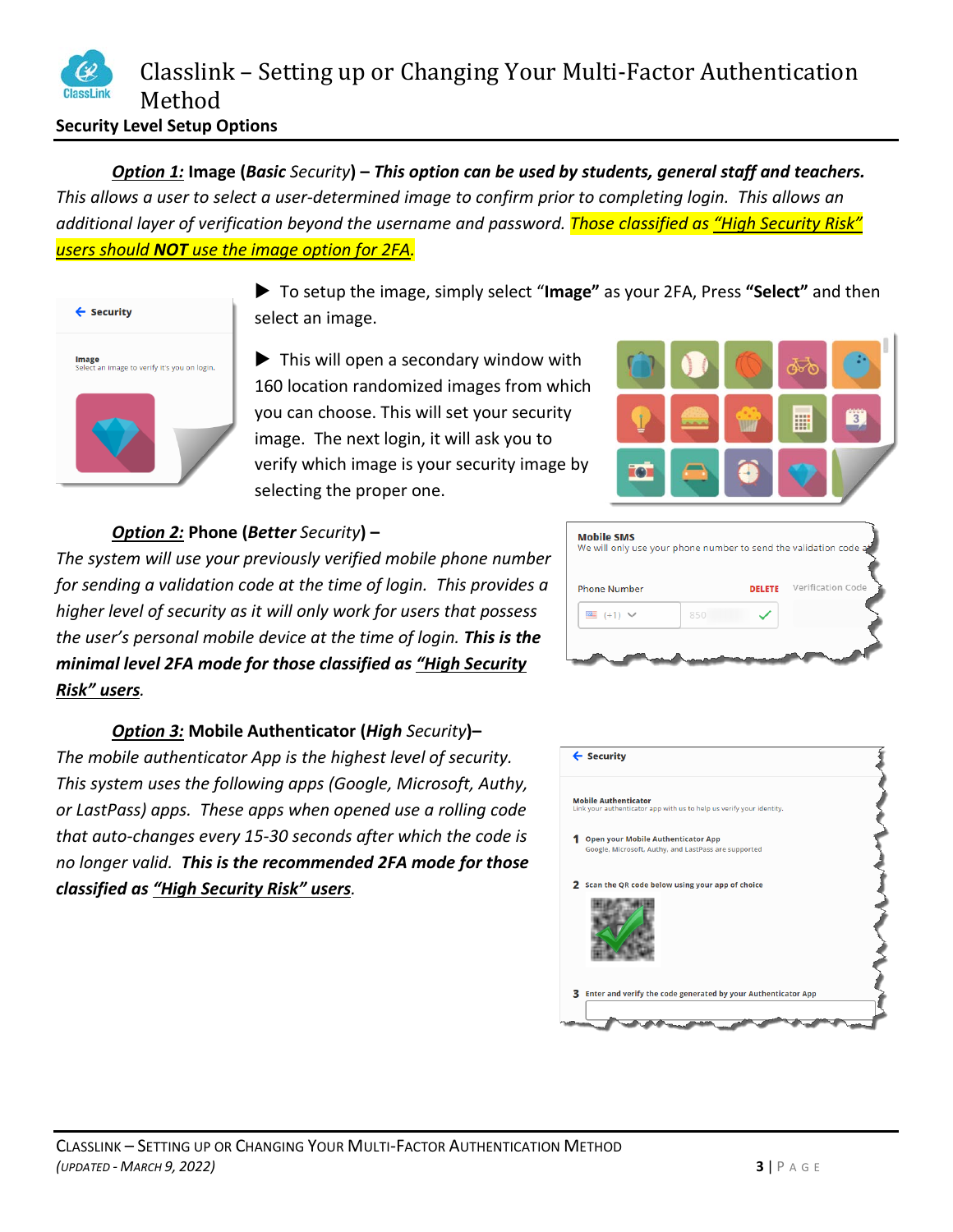<span id="page-4-1"></span><span id="page-4-0"></span>*Option 1:* **Image (***Basic Security***) –** *This option can be used by students, general staff and teachers. This allows a user to select a user-determined image to confirm prior to completing login. This allows an additional layer of verification beyond the username and password. Those classified as "High Security Risk" users should NOT use the image option for 2FA.*



 To setup the image, simply select "**Image"** as your 2FA, Press **"Select"** and then select an image.

 $\blacktriangleright$  This will open a secondary window with 160 location randomized images from which you can choose. This will set your security image. The next login, it will ask you to verify which image is your security image by selecting the proper one.



### <span id="page-4-2"></span>*Option 2:* **Phone (***Better Security***) –**

*The system will use your previously verified mobile phone number for sending a validation code at the time of login. This provides a higher level of security as it will only work for users that possess the user's personal mobile device at the time of login. This is the minimal level 2FA mode for those classified as "High Security Risk" users.*

<span id="page-4-3"></span>*Option 3:* **Mobile Authenticator (***High Security***)–** *The mobile authenticator App is the highest level of security. This system uses the following apps (Google, Microsoft, Authy, or LastPass) apps. These apps when opened use a rolling code that auto-changes every 15-30 seconds after which the code is no longer valid. This is the recommended 2FA mode for those classified as "High Security Risk" users.*